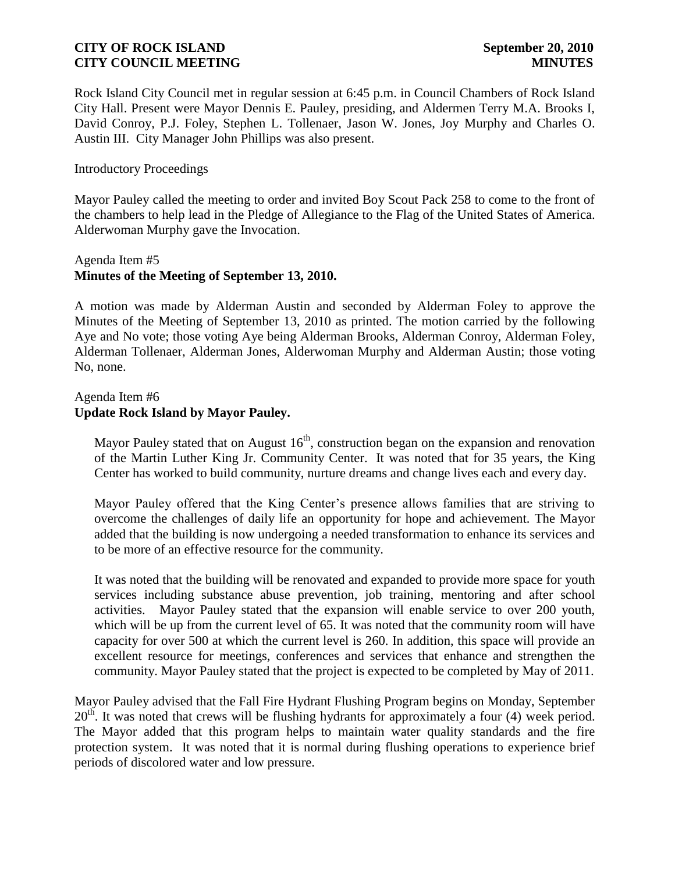Rock Island City Council met in regular session at 6:45 p.m. in Council Chambers of Rock Island City Hall. Present were Mayor Dennis E. Pauley, presiding, and Aldermen Terry M.A. Brooks I, David Conroy, P.J. Foley, Stephen L. Tollenaer, Jason W. Jones, Joy Murphy and Charles O. Austin III. City Manager John Phillips was also present.

### Introductory Proceedings

Mayor Pauley called the meeting to order and invited Boy Scout Pack 258 to come to the front of the chambers to help lead in the Pledge of Allegiance to the Flag of the United States of America. Alderwoman Murphy gave the Invocation.

# Agenda Item #5 **Minutes of the Meeting of September 13, 2010.**

A motion was made by Alderman Austin and seconded by Alderman Foley to approve the Minutes of the Meeting of September 13, 2010 as printed. The motion carried by the following Aye and No vote; those voting Aye being Alderman Brooks, Alderman Conroy, Alderman Foley, Alderman Tollenaer, Alderman Jones, Alderwoman Murphy and Alderman Austin; those voting No, none.

### Agenda Item #6 **Update Rock Island by Mayor Pauley.**

Mayor Pauley stated that on August  $16<sup>th</sup>$ , construction began on the expansion and renovation of the Martin Luther King Jr. Community Center. It was noted that for 35 years, the King Center has worked to build community, nurture dreams and change lives each and every day.

Mayor Pauley offered that the King Center's presence allows families that are striving to overcome the challenges of daily life an opportunity for hope and achievement. The Mayor added that the building is now undergoing a needed transformation to enhance its services and to be more of an effective resource for the community.

It was noted that the building will be renovated and expanded to provide more space for youth services including substance abuse prevention, job training, mentoring and after school activities. Mayor Pauley stated that the expansion will enable service to over 200 youth, which will be up from the current level of 65. It was noted that the community room will have capacity for over 500 at which the current level is 260. In addition, this space will provide an excellent resource for meetings, conferences and services that enhance and strengthen the community. Mayor Pauley stated that the project is expected to be completed by May of 2011.

Mayor Pauley advised that the Fall Fire Hydrant Flushing Program begins on Monday, September  $20<sup>th</sup>$ . It was noted that crews will be flushing hydrants for approximately a four (4) week period. The Mayor added that this program helps to maintain water quality standards and the fire protection system. It was noted that it is normal during flushing operations to experience brief periods of discolored water and low pressure.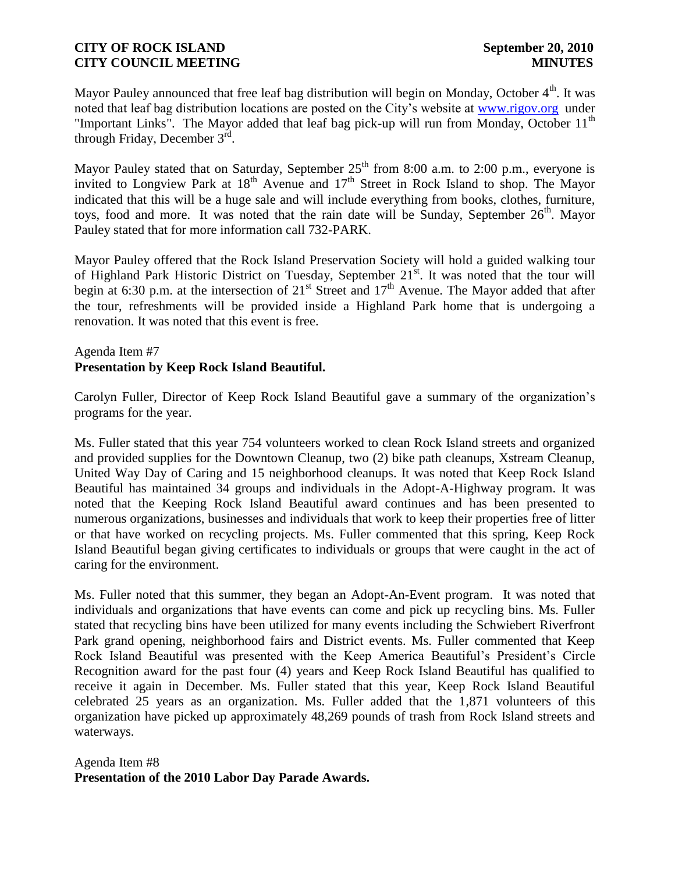Mayor Pauley announced that free leaf bag distribution will begin on Monday, October  $4<sup>th</sup>$ . It was noted that leaf bag distribution locations are posted on the City's website at [www.rigov.org](http://r20.rs6.net/tn.jsp?llr=kjh86ncab&et=1103704031442&s=154&e=001iZAczRnWJHdm3P67UaMR6jPE0QzDKtP8MOHGMwmpuzm2et34RmGrNDu-5e8nDiq2FShcRPlTkrIDGqzh3be0CJZ4J8iTCiMOIYnUZ8ORoJQ=) under "Important Links". The Mayor added that leaf bag pick-up will run from Monday, October  $11<sup>th</sup>$ through Friday, December  $3^{\text{rd}}$ .

Mayor Pauley stated that on Saturday, September  $25<sup>th</sup>$  from 8:00 a.m. to 2:00 p.m., everyone is invited to Longview Park at  $18<sup>th</sup>$  Avenue and  $17<sup>th</sup>$  Street in Rock Island to shop. The Mayor indicated that this will be a huge sale and will include everything from books, clothes, furniture, toys, food and more. It was noted that the rain date will be Sunday, September  $26<sup>th</sup>$ . Mayor Pauley stated that for more information call 732-PARK.

Mayor Pauley offered that the Rock Island Preservation Society will hold a guided walking tour of Highland Park Historic District on Tuesday, September 21<sup>st</sup>. It was noted that the tour will begin at 6:30 p.m. at the intersection of 21<sup>st</sup> Street and 17<sup>th</sup> Avenue. The Mayor added that after the tour, refreshments will be provided inside a Highland Park home that is undergoing a renovation. It was noted that this event is free.

# Agenda Item #7 **Presentation by Keep Rock Island Beautiful.**

Carolyn Fuller, Director of Keep Rock Island Beautiful gave a summary of the organization's programs for the year.

Ms. Fuller stated that this year 754 volunteers worked to clean Rock Island streets and organized and provided supplies for the Downtown Cleanup, two (2) bike path cleanups, Xstream Cleanup, United Way Day of Caring and 15 neighborhood cleanups. It was noted that Keep Rock Island Beautiful has maintained 34 groups and individuals in the Adopt-A-Highway program. It was noted that the Keeping Rock Island Beautiful award continues and has been presented to numerous organizations, businesses and individuals that work to keep their properties free of litter or that have worked on recycling projects. Ms. Fuller commented that this spring, Keep Rock Island Beautiful began giving certificates to individuals or groups that were caught in the act of caring for the environment.

Ms. Fuller noted that this summer, they began an Adopt-An-Event program. It was noted that individuals and organizations that have events can come and pick up recycling bins. Ms. Fuller stated that recycling bins have been utilized for many events including the Schwiebert Riverfront Park grand opening, neighborhood fairs and District events. Ms. Fuller commented that Keep Rock Island Beautiful was presented with the Keep America Beautiful's President's Circle Recognition award for the past four (4) years and Keep Rock Island Beautiful has qualified to receive it again in December. Ms. Fuller stated that this year, Keep Rock Island Beautiful celebrated 25 years as an organization. Ms. Fuller added that the 1,871 volunteers of this organization have picked up approximately 48,269 pounds of trash from Rock Island streets and waterways.

Agenda Item #8 **Presentation of the 2010 Labor Day Parade Awards.**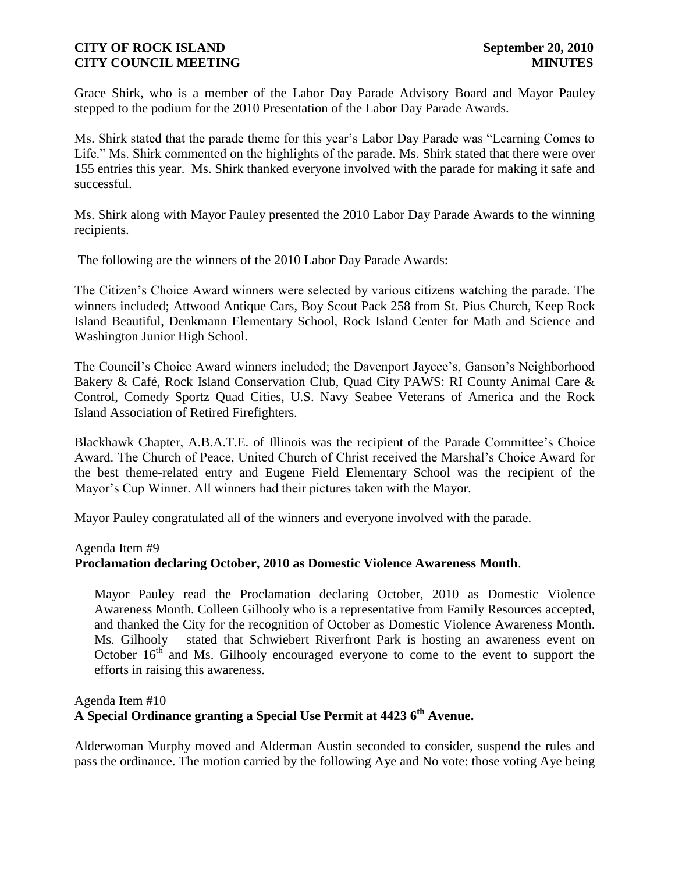Grace Shirk, who is a member of the Labor Day Parade Advisory Board and Mayor Pauley stepped to the podium for the 2010 Presentation of the Labor Day Parade Awards.

Ms. Shirk stated that the parade theme for this year's Labor Day Parade was "Learning Comes to Life." Ms. Shirk commented on the highlights of the parade. Ms. Shirk stated that there were over 155 entries this year. Ms. Shirk thanked everyone involved with the parade for making it safe and successful.

Ms. Shirk along with Mayor Pauley presented the 2010 Labor Day Parade Awards to the winning recipients.

The following are the winners of the 2010 Labor Day Parade Awards:

The Citizen's Choice Award winners were selected by various citizens watching the parade. The winners included; Attwood Antique Cars, Boy Scout Pack 258 from St. Pius Church, Keep Rock Island Beautiful, Denkmann Elementary School, Rock Island Center for Math and Science and Washington Junior High School.

The Council's Choice Award winners included; the Davenport Jaycee's, Ganson's Neighborhood Bakery & Café, Rock Island Conservation Club, Quad City PAWS: RI County Animal Care & Control, Comedy Sportz Quad Cities, U.S. Navy Seabee Veterans of America and the Rock Island Association of Retired Firefighters.

Blackhawk Chapter, A.B.A.T.E. of Illinois was the recipient of the Parade Committee's Choice Award. The Church of Peace, United Church of Christ received the Marshal's Choice Award for the best theme-related entry and Eugene Field Elementary School was the recipient of the Mayor's Cup Winner. All winners had their pictures taken with the Mayor.

Mayor Pauley congratulated all of the winners and everyone involved with the parade.

#### Agenda Item #9

### **Proclamation declaring October, 2010 as Domestic Violence Awareness Month**.

 Mayor Pauley read the Proclamation declaring October, 2010 as Domestic Violence Awareness Month. Colleen Gilhooly who is a representative from Family Resources accepted, and thanked the City for the recognition of October as Domestic Violence Awareness Month. Ms. Gilhooly stated that Schwiebert Riverfront Park is hosting an awareness event on October  $16<sup>th</sup>$  and Ms. Gilhooly encouraged everyone to come to the event to support the efforts in raising this awareness.

### Agenda Item #10

# **A Special Ordinance granting a Special Use Permit at 4423 6th Avenue.**

Alderwoman Murphy moved and Alderman Austin seconded to consider, suspend the rules and pass the ordinance. The motion carried by the following Aye and No vote: those voting Aye being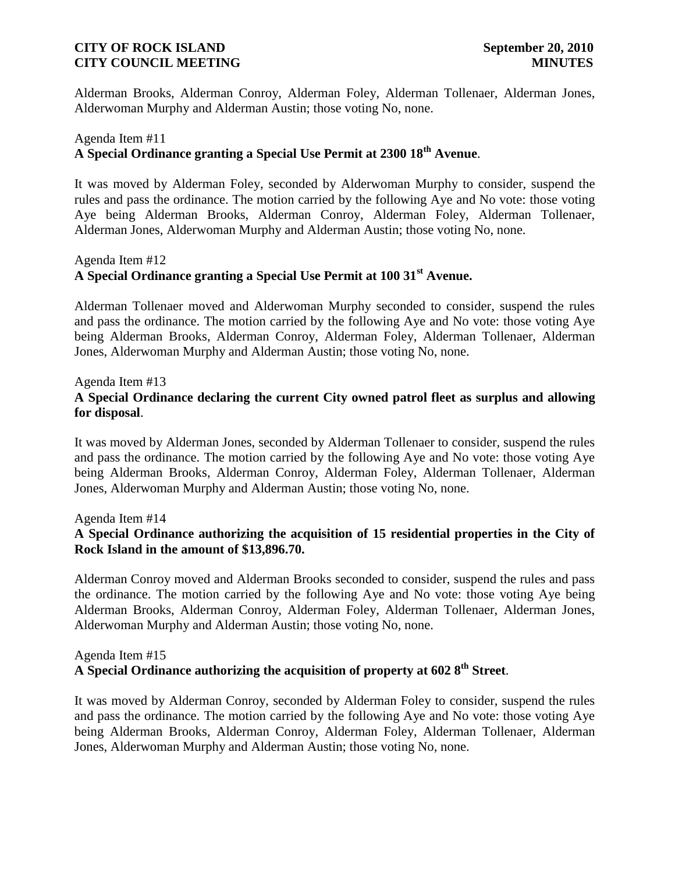Alderman Brooks, Alderman Conroy, Alderman Foley, Alderman Tollenaer, Alderman Jones, Alderwoman Murphy and Alderman Austin; those voting No, none.

## Agenda Item #11 **A Special Ordinance granting a Special Use Permit at 2300 18th Avenue**.

It was moved by Alderman Foley, seconded by Alderwoman Murphy to consider, suspend the rules and pass the ordinance. The motion carried by the following Aye and No vote: those voting Aye being Alderman Brooks, Alderman Conroy, Alderman Foley, Alderman Tollenaer, Alderman Jones, Alderwoman Murphy and Alderman Austin; those voting No, none.

# Agenda Item #12 **A Special Ordinance granting a Special Use Permit at 100 31st Avenue.**

Alderman Tollenaer moved and Alderwoman Murphy seconded to consider, suspend the rules and pass the ordinance. The motion carried by the following Aye and No vote: those voting Aye being Alderman Brooks, Alderman Conroy, Alderman Foley, Alderman Tollenaer, Alderman Jones, Alderwoman Murphy and Alderman Austin; those voting No, none.

Agenda Item #13

# **A Special Ordinance declaring the current City owned patrol fleet as surplus and allowing for disposal**.

It was moved by Alderman Jones, seconded by Alderman Tollenaer to consider, suspend the rules and pass the ordinance. The motion carried by the following Aye and No vote: those voting Aye being Alderman Brooks, Alderman Conroy, Alderman Foley, Alderman Tollenaer, Alderman Jones, Alderwoman Murphy and Alderman Austin; those voting No, none.

### Agenda Item #14

# **A Special Ordinance authorizing the acquisition of 15 residential properties in the City of Rock Island in the amount of \$13,896.70.**

Alderman Conroy moved and Alderman Brooks seconded to consider, suspend the rules and pass the ordinance. The motion carried by the following Aye and No vote: those voting Aye being Alderman Brooks, Alderman Conroy, Alderman Foley, Alderman Tollenaer, Alderman Jones, Alderwoman Murphy and Alderman Austin; those voting No, none.

#### Agenda Item #15 **A Special Ordinance authorizing the acquisition of property at 602 8th Street**.

It was moved by Alderman Conroy, seconded by Alderman Foley to consider, suspend the rules and pass the ordinance. The motion carried by the following Aye and No vote: those voting Aye being Alderman Brooks, Alderman Conroy, Alderman Foley, Alderman Tollenaer, Alderman Jones, Alderwoman Murphy and Alderman Austin; those voting No, none.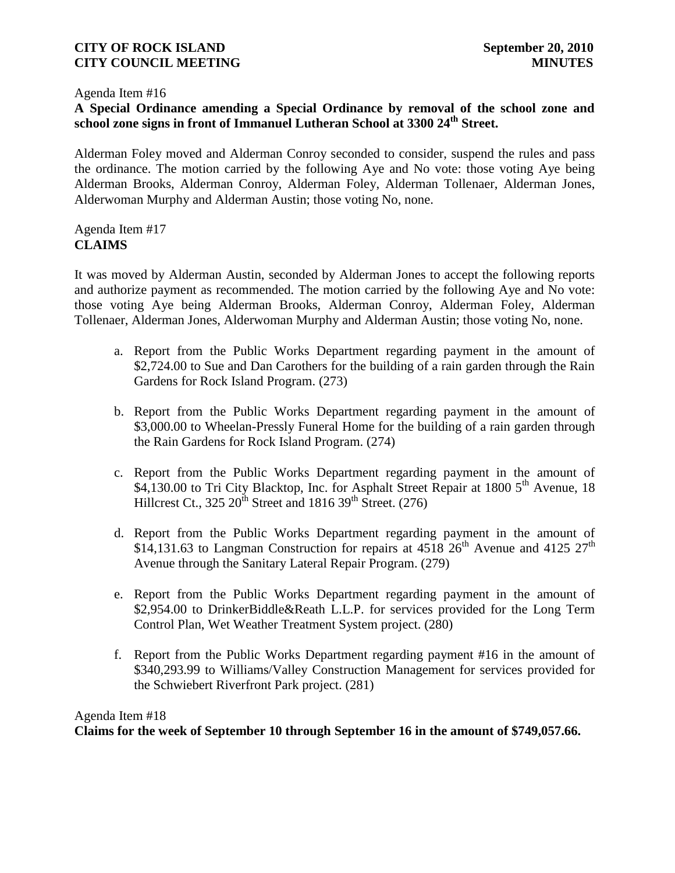#### Agenda Item #16

# **A Special Ordinance amending a Special Ordinance by removal of the school zone and school zone signs in front of Immanuel Lutheran School at 3300 24th Street.**

Alderman Foley moved and Alderman Conroy seconded to consider, suspend the rules and pass the ordinance. The motion carried by the following Aye and No vote: those voting Aye being Alderman Brooks, Alderman Conroy, Alderman Foley, Alderman Tollenaer, Alderman Jones, Alderwoman Murphy and Alderman Austin; those voting No, none.

### Agenda Item #17 **CLAIMS**

It was moved by Alderman Austin, seconded by Alderman Jones to accept the following reports and authorize payment as recommended. The motion carried by the following Aye and No vote: those voting Aye being Alderman Brooks, Alderman Conroy, Alderman Foley, Alderman Tollenaer, Alderman Jones, Alderwoman Murphy and Alderman Austin; those voting No, none.

- a. Report from the Public Works Department regarding payment in the amount of \$2,724.00 to Sue and Dan Carothers for the building of a rain garden through the Rain Gardens for Rock Island Program. (273)
- b. Report from the Public Works Department regarding payment in the amount of \$3,000.00 to Wheelan-Pressly Funeral Home for the building of a rain garden through the Rain Gardens for Rock Island Program. (274)
- c. Report from the Public Works Department regarding payment in the amount of \$4,130.00 to Tri City Blacktop, Inc. for Asphalt Street Repair at 1800 5<sup>th</sup> Avenue, 18 Hillcrest Ct.,  $325 \times 20^{th}$  Street and  $1816 \times 39^{th}$  Street. (276)
- d. Report from the Public Works Department regarding payment in the amount of \$14,131.63 to Langman Construction for repairs at  $4518\,26^{th}$  Avenue and  $4125\,27^{th}$ Avenue through the Sanitary Lateral Repair Program. (279)
- e. Report from the Public Works Department regarding payment in the amount of \$2,954.00 to DrinkerBiddle&Reath L.L.P. for services provided for the Long Term Control Plan, Wet Weather Treatment System project. (280)
- f. Report from the Public Works Department regarding payment #16 in the amount of \$340,293.99 to Williams/Valley Construction Management for services provided for the Schwiebert Riverfront Park project. (281)

# Agenda Item #18 **Claims for the week of September 10 through September 16 in the amount of \$749,057.66.**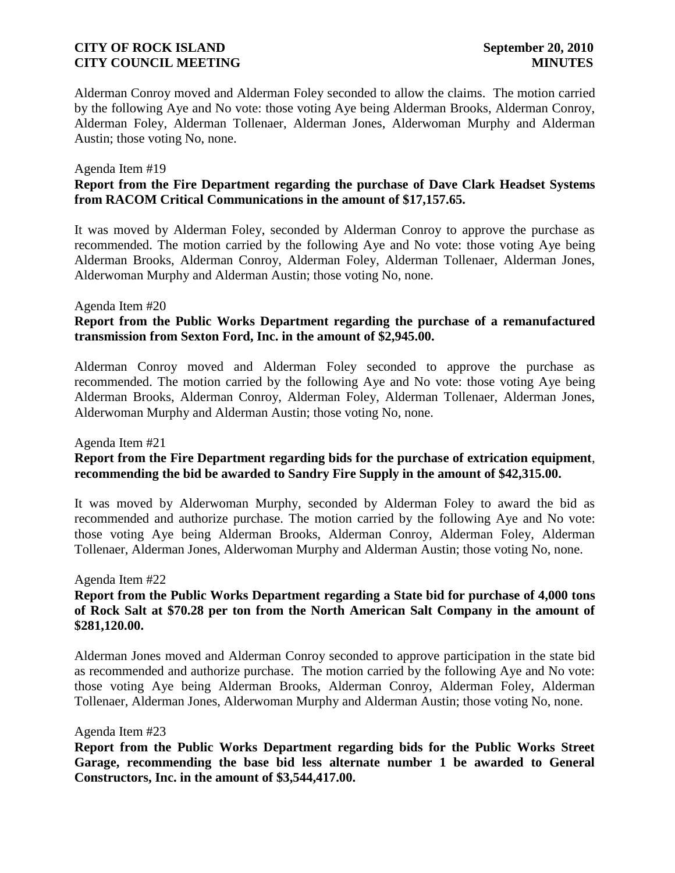Alderman Conroy moved and Alderman Foley seconded to allow the claims. The motion carried by the following Aye and No vote: those voting Aye being Alderman Brooks, Alderman Conroy, Alderman Foley, Alderman Tollenaer, Alderman Jones, Alderwoman Murphy and Alderman Austin; those voting No, none.

#### Agenda Item #19

# **Report from the Fire Department regarding the purchase of Dave Clark Headset Systems from RACOM Critical Communications in the amount of \$17,157.65.**

It was moved by Alderman Foley, seconded by Alderman Conroy to approve the purchase as recommended. The motion carried by the following Aye and No vote: those voting Aye being Alderman Brooks, Alderman Conroy, Alderman Foley, Alderman Tollenaer, Alderman Jones, Alderwoman Murphy and Alderman Austin; those voting No, none.

### Agenda Item #20

### **Report from the Public Works Department regarding the purchase of a remanufactured transmission from Sexton Ford, Inc. in the amount of \$2,945.00.**

Alderman Conroy moved and Alderman Foley seconded to approve the purchase as recommended. The motion carried by the following Aye and No vote: those voting Aye being Alderman Brooks, Alderman Conroy, Alderman Foley, Alderman Tollenaer, Alderman Jones, Alderwoman Murphy and Alderman Austin; those voting No, none.

#### Agenda Item #21

# **Report from the Fire Department regarding bids for the purchase of extrication equipment**, **recommending the bid be awarded to Sandry Fire Supply in the amount of \$42,315.00.**

It was moved by Alderwoman Murphy, seconded by Alderman Foley to award the bid as recommended and authorize purchase. The motion carried by the following Aye and No vote: those voting Aye being Alderman Brooks, Alderman Conroy, Alderman Foley, Alderman Tollenaer, Alderman Jones, Alderwoman Murphy and Alderman Austin; those voting No, none.

#### Agenda Item #22

# **Report from the Public Works Department regarding a State bid for purchase of 4,000 tons of Rock Salt at \$70.28 per ton from the North American Salt Company in the amount of \$281,120.00.**

Alderman Jones moved and Alderman Conroy seconded to approve participation in the state bid as recommended and authorize purchase. The motion carried by the following Aye and No vote: those voting Aye being Alderman Brooks, Alderman Conroy, Alderman Foley, Alderman Tollenaer, Alderman Jones, Alderwoman Murphy and Alderman Austin; those voting No, none.

#### Agenda Item #23

**Report from the Public Works Department regarding bids for the Public Works Street Garage, recommending the base bid less alternate number 1 be awarded to General Constructors, Inc. in the amount of \$3,544,417.00.**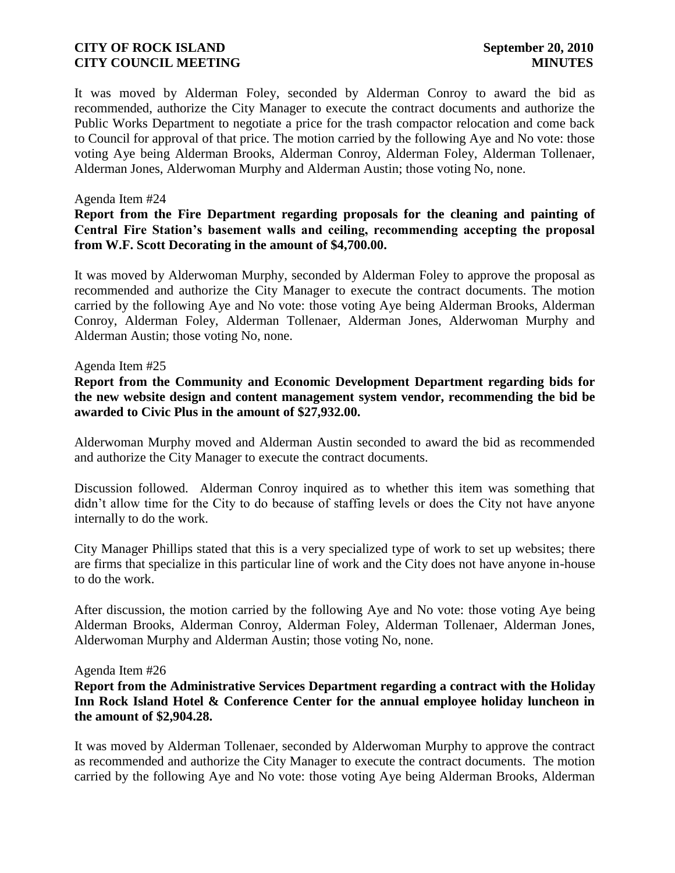It was moved by Alderman Foley, seconded by Alderman Conroy to award the bid as recommended, authorize the City Manager to execute the contract documents and authorize the Public Works Department to negotiate a price for the trash compactor relocation and come back to Council for approval of that price. The motion carried by the following Aye and No vote: those voting Aye being Alderman Brooks, Alderman Conroy, Alderman Foley, Alderman Tollenaer, Alderman Jones, Alderwoman Murphy and Alderman Austin; those voting No, none.

### Agenda Item #24

### **Report from the Fire Department regarding proposals for the cleaning and painting of Central Fire Station's basement walls and ceiling, recommending accepting the proposal from W.F. Scott Decorating in the amount of \$4,700.00.**

It was moved by Alderwoman Murphy, seconded by Alderman Foley to approve the proposal as recommended and authorize the City Manager to execute the contract documents. The motion carried by the following Aye and No vote: those voting Aye being Alderman Brooks, Alderman Conroy, Alderman Foley, Alderman Tollenaer, Alderman Jones, Alderwoman Murphy and Alderman Austin; those voting No, none.

### Agenda Item #25

**Report from the Community and Economic Development Department regarding bids for the new website design and content management system vendor, recommending the bid be awarded to Civic Plus in the amount of \$27,932.00.**

Alderwoman Murphy moved and Alderman Austin seconded to award the bid as recommended and authorize the City Manager to execute the contract documents.

Discussion followed. Alderman Conroy inquired as to whether this item was something that didn't allow time for the City to do because of staffing levels or does the City not have anyone internally to do the work.

City Manager Phillips stated that this is a very specialized type of work to set up websites; there are firms that specialize in this particular line of work and the City does not have anyone in-house to do the work.

After discussion, the motion carried by the following Aye and No vote: those voting Aye being Alderman Brooks, Alderman Conroy, Alderman Foley, Alderman Tollenaer, Alderman Jones, Alderwoman Murphy and Alderman Austin; those voting No, none.

#### Agenda Item #26

**Report from the Administrative Services Department regarding a contract with the Holiday Inn Rock Island Hotel & Conference Center for the annual employee holiday luncheon in the amount of \$2,904.28.**

It was moved by Alderman Tollenaer, seconded by Alderwoman Murphy to approve the contract as recommended and authorize the City Manager to execute the contract documents. The motion carried by the following Aye and No vote: those voting Aye being Alderman Brooks, Alderman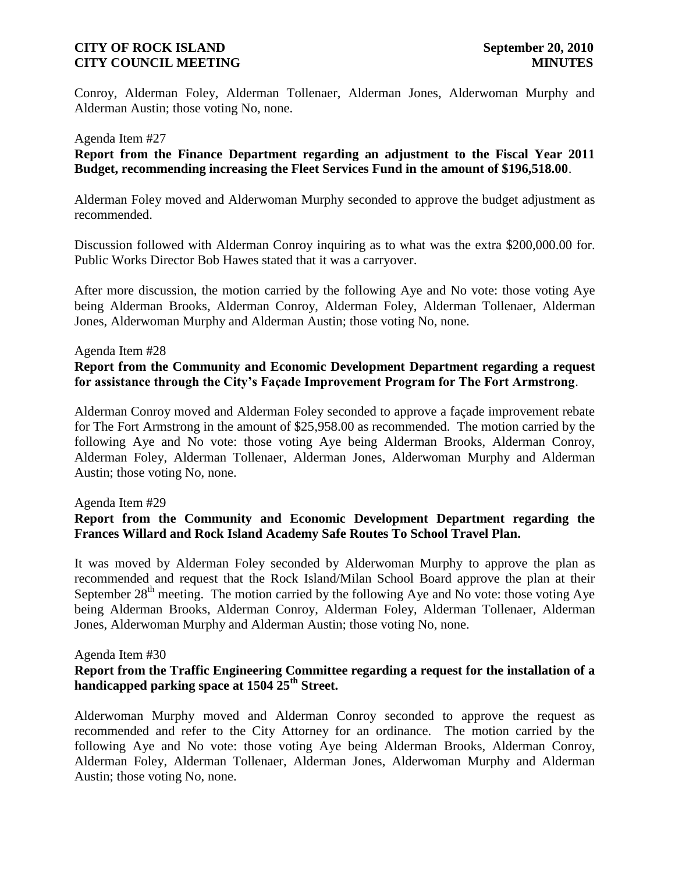Conroy, Alderman Foley, Alderman Tollenaer, Alderman Jones, Alderwoman Murphy and Alderman Austin; those voting No, none.

#### Agenda Item #27

**Report from the Finance Department regarding an adjustment to the Fiscal Year 2011 Budget, recommending increasing the Fleet Services Fund in the amount of \$196,518.00**.

Alderman Foley moved and Alderwoman Murphy seconded to approve the budget adjustment as recommended.

Discussion followed with Alderman Conroy inquiring as to what was the extra \$200,000.00 for. Public Works Director Bob Hawes stated that it was a carryover.

After more discussion, the motion carried by the following Aye and No vote: those voting Aye being Alderman Brooks, Alderman Conroy, Alderman Foley, Alderman Tollenaer, Alderman Jones, Alderwoman Murphy and Alderman Austin; those voting No, none.

#### Agenda Item #28

### **Report from the Community and Economic Development Department regarding a request for assistance through the City's Façade Improvement Program for The Fort Armstrong**.

Alderman Conroy moved and Alderman Foley seconded to approve a façade improvement rebate for The Fort Armstrong in the amount of \$25,958.00 as recommended. The motion carried by the following Aye and No vote: those voting Aye being Alderman Brooks, Alderman Conroy, Alderman Foley, Alderman Tollenaer, Alderman Jones, Alderwoman Murphy and Alderman Austin; those voting No, none.

#### Agenda Item #29

# **Report from the Community and Economic Development Department regarding the Frances Willard and Rock Island Academy Safe Routes To School Travel Plan.**

It was moved by Alderman Foley seconded by Alderwoman Murphy to approve the plan as recommended and request that the Rock Island/Milan School Board approve the plan at their September  $28<sup>th</sup>$  meeting. The motion carried by the following Aye and No vote: those voting Aye being Alderman Brooks, Alderman Conroy, Alderman Foley, Alderman Tollenaer, Alderman Jones, Alderwoman Murphy and Alderman Austin; those voting No, none.

#### Agenda Item #30

# **Report from the Traffic Engineering Committee regarding a request for the installation of a handicapped parking space at 1504 25th Street.**

Alderwoman Murphy moved and Alderman Conroy seconded to approve the request as recommended and refer to the City Attorney for an ordinance. The motion carried by the following Aye and No vote: those voting Aye being Alderman Brooks, Alderman Conroy, Alderman Foley, Alderman Tollenaer, Alderman Jones, Alderwoman Murphy and Alderman Austin; those voting No, none.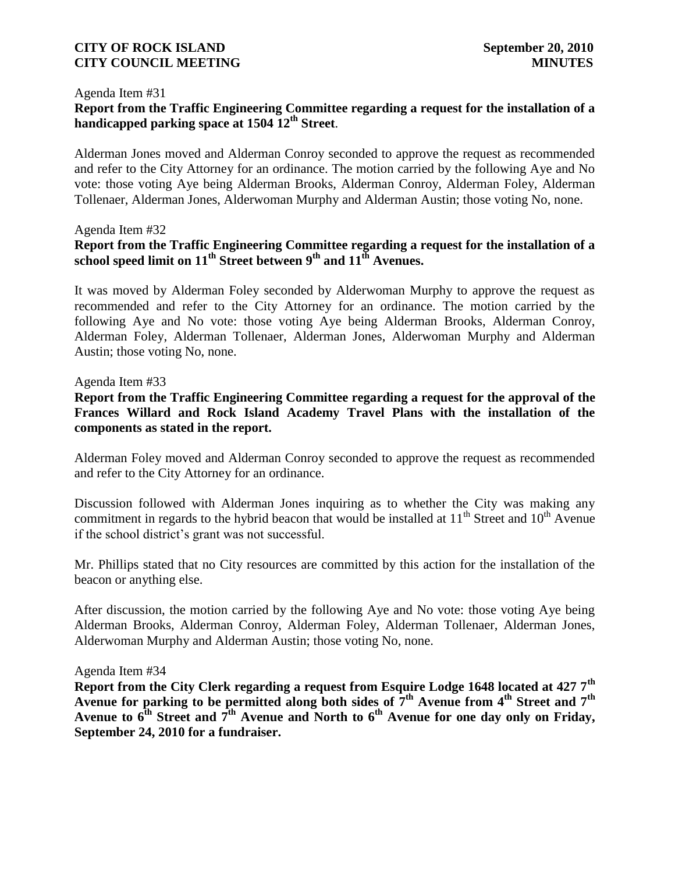#### Agenda Item #31

### **Report from the Traffic Engineering Committee regarding a request for the installation of a handicapped parking space at 1504 12th Street**.

Alderman Jones moved and Alderman Conroy seconded to approve the request as recommended and refer to the City Attorney for an ordinance. The motion carried by the following Aye and No vote: those voting Aye being Alderman Brooks, Alderman Conroy, Alderman Foley, Alderman Tollenaer, Alderman Jones, Alderwoman Murphy and Alderman Austin; those voting No, none.

### Agenda Item #32

# **Report from the Traffic Engineering Committee regarding a request for the installation of a school speed limit on 11 th Street between 9th and 11th Avenues.**

It was moved by Alderman Foley seconded by Alderwoman Murphy to approve the request as recommended and refer to the City Attorney for an ordinance. The motion carried by the following Aye and No vote: those voting Aye being Alderman Brooks, Alderman Conroy, Alderman Foley, Alderman Tollenaer, Alderman Jones, Alderwoman Murphy and Alderman Austin; those voting No, none.

### Agenda Item #33

**Report from the Traffic Engineering Committee regarding a request for the approval of the Frances Willard and Rock Island Academy Travel Plans with the installation of the components as stated in the report.** 

Alderman Foley moved and Alderman Conroy seconded to approve the request as recommended and refer to the City Attorney for an ordinance.

Discussion followed with Alderman Jones inquiring as to whether the City was making any commitment in regards to the hybrid beacon that would be installed at  $11<sup>th</sup>$  Street and  $10<sup>th</sup>$  Avenue if the school district's grant was not successful.

Mr. Phillips stated that no City resources are committed by this action for the installation of the beacon or anything else.

After discussion, the motion carried by the following Aye and No vote: those voting Aye being Alderman Brooks, Alderman Conroy, Alderman Foley, Alderman Tollenaer, Alderman Jones, Alderwoman Murphy and Alderman Austin; those voting No, none.

#### Agenda Item #34

**Report from the City Clerk regarding a request from Esquire Lodge 1648 located at 427 7th Avenue for parking to be permitted along both sides of 7th Avenue from 4th Street and 7th Avenue to 6th Street and 7th Avenue and North to 6th Avenue for one day only on Friday, September 24, 2010 for a fundraiser.**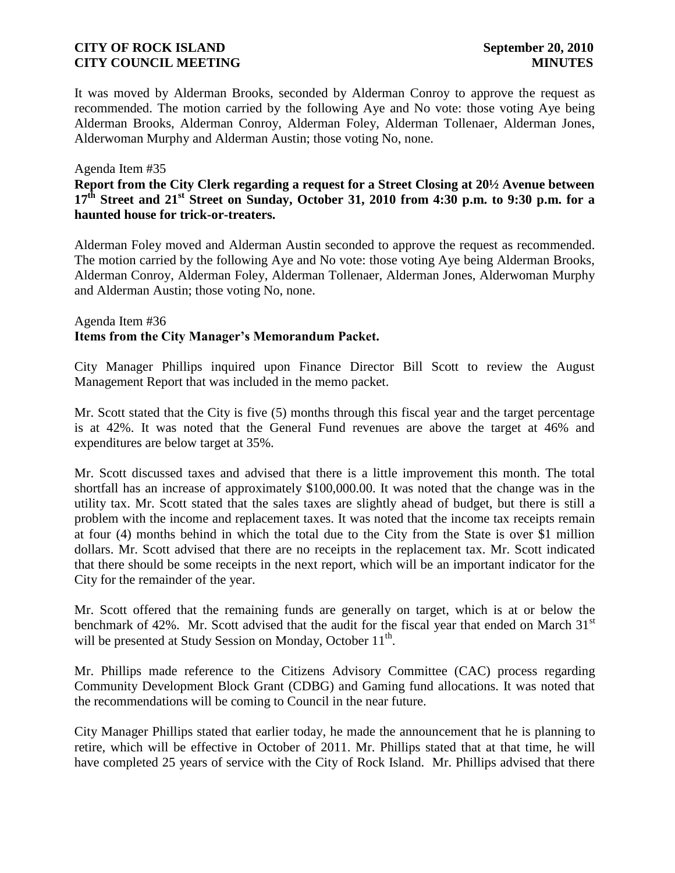It was moved by Alderman Brooks, seconded by Alderman Conroy to approve the request as recommended. The motion carried by the following Aye and No vote: those voting Aye being Alderman Brooks, Alderman Conroy, Alderman Foley, Alderman Tollenaer, Alderman Jones, Alderwoman Murphy and Alderman Austin; those voting No, none.

### Agenda Item #35

# **Report from the City Clerk regarding a request for a Street Closing at 20½ Avenue between 17th Street and 21st Street on Sunday, October 31, 2010 from 4:30 p.m. to 9:30 p.m. for a haunted house for trick-or-treaters.**

Alderman Foley moved and Alderman Austin seconded to approve the request as recommended. The motion carried by the following Aye and No vote: those voting Aye being Alderman Brooks, Alderman Conroy, Alderman Foley, Alderman Tollenaer, Alderman Jones, Alderwoman Murphy and Alderman Austin; those voting No, none.

### Agenda Item #36 **Items from the City Manager's Memorandum Packet.**

City Manager Phillips inquired upon Finance Director Bill Scott to review the August Management Report that was included in the memo packet.

Mr. Scott stated that the City is five (5) months through this fiscal year and the target percentage is at 42%. It was noted that the General Fund revenues are above the target at 46% and expenditures are below target at 35%.

Mr. Scott discussed taxes and advised that there is a little improvement this month. The total shortfall has an increase of approximately \$100,000.00. It was noted that the change was in the utility tax. Mr. Scott stated that the sales taxes are slightly ahead of budget, but there is still a problem with the income and replacement taxes. It was noted that the income tax receipts remain at four (4) months behind in which the total due to the City from the State is over \$1 million dollars. Mr. Scott advised that there are no receipts in the replacement tax. Mr. Scott indicated that there should be some receipts in the next report, which will be an important indicator for the City for the remainder of the year.

Mr. Scott offered that the remaining funds are generally on target, which is at or below the benchmark of 42%. Mr. Scott advised that the audit for the fiscal year that ended on March  $31<sup>st</sup>$ will be presented at Study Session on Monday, October  $11<sup>th</sup>$ .

Mr. Phillips made reference to the Citizens Advisory Committee (CAC) process regarding Community Development Block Grant (CDBG) and Gaming fund allocations. It was noted that the recommendations will be coming to Council in the near future.

City Manager Phillips stated that earlier today, he made the announcement that he is planning to retire, which will be effective in October of 2011. Mr. Phillips stated that at that time, he will have completed 25 years of service with the City of Rock Island. Mr. Phillips advised that there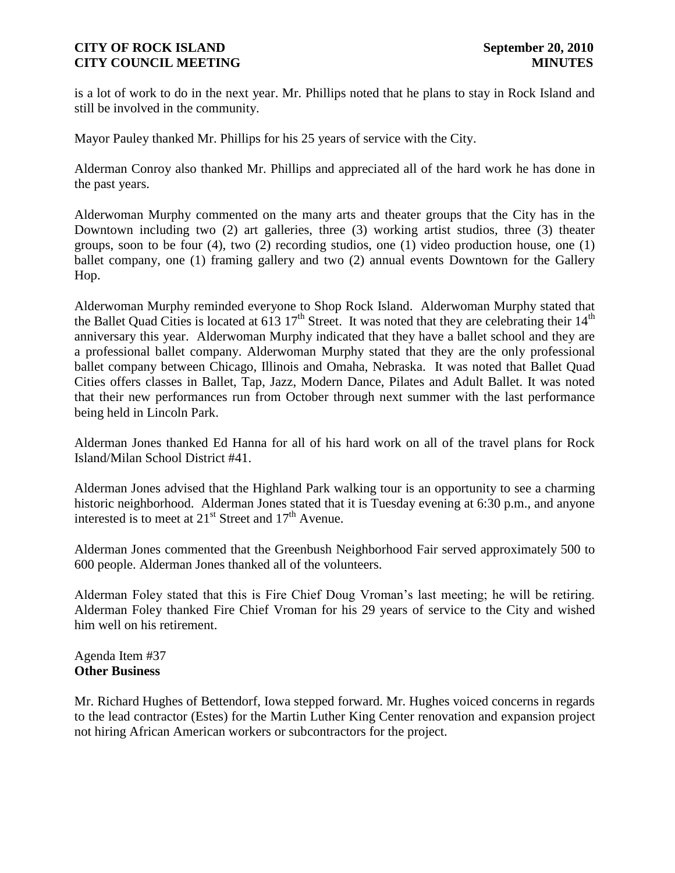is a lot of work to do in the next year. Mr. Phillips noted that he plans to stay in Rock Island and still be involved in the community.

Mayor Pauley thanked Mr. Phillips for his 25 years of service with the City.

Alderman Conroy also thanked Mr. Phillips and appreciated all of the hard work he has done in the past years.

Alderwoman Murphy commented on the many arts and theater groups that the City has in the Downtown including two (2) art galleries, three (3) working artist studios, three (3) theater groups, soon to be four (4), two (2) recording studios, one (1) video production house, one (1) ballet company, one (1) framing gallery and two (2) annual events Downtown for the Gallery Hop.

Alderwoman Murphy reminded everyone to Shop Rock Island. Alderwoman Murphy stated that the Ballet Quad Cities is located at  $613.17^{\text{th}}$  Street. It was noted that they are celebrating their  $14^{\text{th}}$ anniversary this year. Alderwoman Murphy indicated that they have a ballet school and they are a professional ballet company. Alderwoman Murphy stated that they are the only professional ballet company between Chicago, Illinois and Omaha, Nebraska. It was noted that Ballet Quad Cities offers classes in Ballet, Tap, Jazz, Modern Dance, Pilates and Adult Ballet. It was noted that their new performances run from October through next summer with the last performance being held in Lincoln Park.

Alderman Jones thanked Ed Hanna for all of his hard work on all of the travel plans for Rock Island/Milan School District #41.

Alderman Jones advised that the Highland Park walking tour is an opportunity to see a charming historic neighborhood. Alderman Jones stated that it is Tuesday evening at 6:30 p.m., and anyone interested is to meet at  $21<sup>st</sup>$  Street and  $17<sup>th</sup>$  Avenue.

Alderman Jones commented that the Greenbush Neighborhood Fair served approximately 500 to 600 people. Alderman Jones thanked all of the volunteers.

Alderman Foley stated that this is Fire Chief Doug Vroman's last meeting; he will be retiring. Alderman Foley thanked Fire Chief Vroman for his 29 years of service to the City and wished him well on his retirement.

Agenda Item #37 **Other Business**

Mr. Richard Hughes of Bettendorf, Iowa stepped forward. Mr. Hughes voiced concerns in regards to the lead contractor (Estes) for the Martin Luther King Center renovation and expansion project not hiring African American workers or subcontractors for the project.